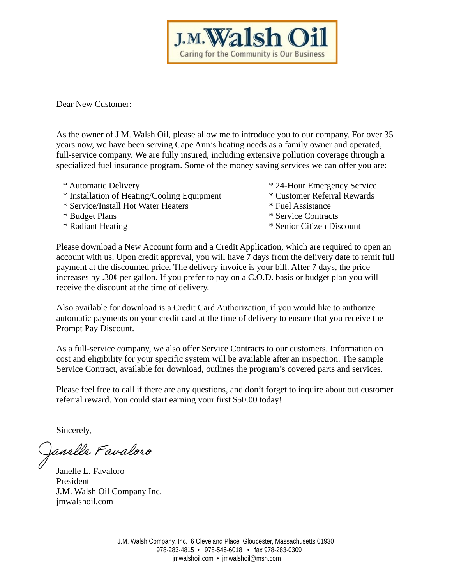Caring for the Community is Our Business

**J.M. Walsh** 

Dear New Customer:

As the owner of J.M. Walsh Oil, please allow me to introduce you to our company. For over 35 years now, we have been serving Cape Ann's heating needs as a family owner and operated, full-service company. We are fully insured, including extensive pollution coverage through a specialized fuel insurance program. Some of the money saving services we can offer you are:

- 
- \* Installation of Heating/Cooling Equipment \* Customer Referral Rewards
- \* Service/Install Hot Water Heaters \* Fuel Assistance
- 
- 
- \* Automatic Delivery \* 24-Hour Emergency Service
	-
	-
- \* Budget Plans \* Service Contracts
- \* Radiant Heating \* Senior Citizen Discount

Please download a New Account form and a Credit Application, which are required to open an account with us. Upon credit approval, you will have 7 days from the delivery date to remit full payment at the discounted price. The delivery invoice is your bill. After 7 days, the price increases by .30¢ per gallon. If you prefer to pay on a C.O.D. basis or budget plan you will receive the discount at the time of delivery.

Also available for download is a Credit Card Authorization, if you would like to authorize automatic payments on your credit card at the time of delivery to ensure that you receive the Prompt Pay Discount.

As a full-service company, we also offer Service Contracts to our customers. Information on cost and eligibility for your specific system will be available after an inspection. The sample Service Contract, available for download, outlines the program's covered parts and services.

Please feel free to call if there are any questions, and don't forget to inquire about out customer referral reward. You could start earning your first \$50.00 today!

Sincerely,

Janelle Favaloro

Janelle L. Favaloro President J.M. Walsh Oil Company Inc. jmwalshoil.com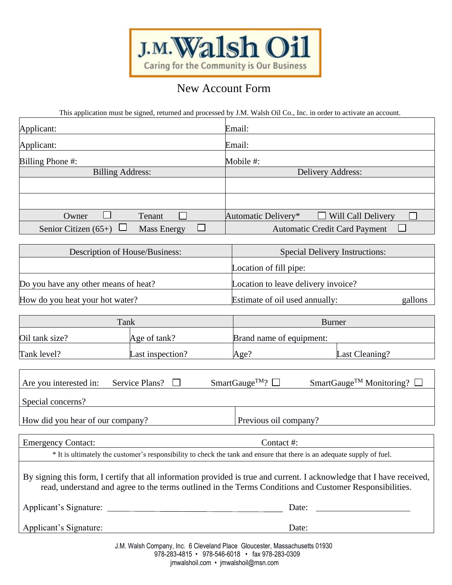

# New Account Form

This application must be signed, returned and processed by J.M. Walsh Oil Co., Inc. in order to activate an account.

| Applicant:                                   | Email:                                           |  |  |
|----------------------------------------------|--------------------------------------------------|--|--|
| Applicant:                                   | Email:                                           |  |  |
| <b>Billing Phone #:</b>                      | Mobile #:                                        |  |  |
| <b>Billing Address:</b>                      | Delivery Address:                                |  |  |
|                                              |                                                  |  |  |
|                                              |                                                  |  |  |
| Owner<br>Tenant                              | $\Box$ Will Call Delivery<br>Automatic Delivery* |  |  |
| Senior Citizen $(65+)$<br><b>Mass Energy</b> | <b>Automatic Credit Card Payment</b>             |  |  |
|                                              |                                                  |  |  |
| Description of House/Business:               | <b>Special Delivery Instructions:</b>            |  |  |
|                                              | Location of fill pipe:                           |  |  |

Do you have any other means of heat? Location to leave delivery invoice? How do you heat your hot water? Estimate of oil used annually:

| gallons |
|---------|
|         |

| Tank           |                  | <b>Burner</b>            |                |  |
|----------------|------------------|--------------------------|----------------|--|
| Oil tank size? | Age of tank?     | Brand name of equipment: |                |  |
| Tank level?    | Last inspection? | Age?                     | Last Cleaning? |  |

| Service Plans? $\Box$<br>Are you interested in:                                                                                                                                                                                   | SmartGauge <sup>TM</sup> ? $\Box$<br>SmartGauge <sup>TM</sup> Monitoring? $\square$ |
|-----------------------------------------------------------------------------------------------------------------------------------------------------------------------------------------------------------------------------------|-------------------------------------------------------------------------------------|
| Special concerns?                                                                                                                                                                                                                 |                                                                                     |
| How did you hear of our company?                                                                                                                                                                                                  | Previous oil company?                                                               |
|                                                                                                                                                                                                                                   |                                                                                     |
| <b>Emergency Contact:</b>                                                                                                                                                                                                         | Contact #:                                                                          |
| * It is ultimately the customer's responsibility to check the tank and ensure that there is an adequate supply of fuel.                                                                                                           |                                                                                     |
| By signing this form, I certify that all information provided is true and current. I acknowledge that I have received,<br>read, understand and agree to the terms outlined in the Terms Conditions and Customer Responsibilities. |                                                                                     |
| Applicant's Signature:                                                                                                                                                                                                            | Date:                                                                               |
| Applicant's Signature:                                                                                                                                                                                                            | Date:                                                                               |
| $1\,M$ , $M_{\odot}$ is $R_{\odot}$ and $R_{\odot}$ and $R_{\odot}$ is the internal $R_{\odot}$ is the internal matrix $M_{\odot}$ is the $0.4090$                                                                                |                                                                                     |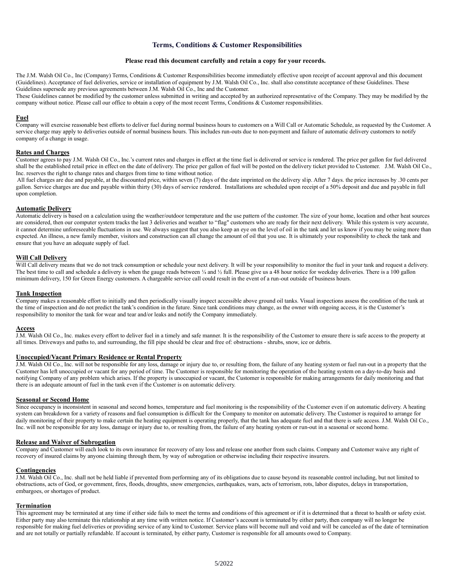# **Terms, Conditions & Customer Responsibilities**

# **Please read this document carefully and retain a copy for your records.**

The J.M. Walsh Oil Co., Inc (Company) Terms, Conditions & Customer Responsibilities become immediately effective upon receipt of account approval and this document (Guidelines). Acceptance of fuel deliveries, service or installation of equipment by J.M. Walsh Oil Co., Inc. shall also constitute acceptance of these Guidelines. These Guidelines supersede any previous agreements between J.M. Walsh Oil Co., Inc and the Customer.

These Guidelines cannot be modified by the customer unless submitted in writing and accepted by an authorized representative of the Company. They may be modified by the company without notice. Please call our office to obtain a copy of the most recent Terms, Conditions & Customer responsibilities.

# **Fuel**

Company will exercise reasonable best efforts to deliver fuel during normal business hours to customers on a Will Call or Automatic Schedule, as requested by the Customer. A service charge may apply to deliveries outside of normal business hours. This includes run-outs due to non-payment and failure of automatic delivery customers to notify company of a change in usage.

## **Rates and Charges**

Customer agrees to pay J.M. Walsh Oil Co., Inc.'s current rates and charges in effect at the time fuel is delivered or service is rendered. The price per gallon for fuel delivered shall be the established retail price in effect on the date of delivery. The price per gallon of fuel will be posted on the delivery ticket provided to Customer. J.M. Walsh Oil Co., Inc. reserves the right to change rates and charges from time to time without notice.

All fuel charges are due and payable, at the discounted price, within seven (7) days of the date imprinted on the delivery slip. After 7 days. the price increases by .30 cents per gallon. Service charges are due and payable within thirty (30) days of service rendered. Installations are scheduled upon receipt of a 50% deposit and due and payable in full upon completion.

#### **Automatic Delivery**

Automatic delivery is based on a calculation using the weather/outdoor temperature and the use pattern of the customer. The size of your home, location and other heat sources are considered, then our computer system tracks the last 3 deliveries and weather to "flag" customers who are ready for their next delivery. While this system is very accurate, it cannot determine unforeseeable fluctuations in use. We always suggest that you also keep an eye on the level of oil in the tank and let us know if you may be using more than expected. An illness, a new family member, visitors and construction can all change the amount of oil that you use. It is ultimately your responsibility to check the tank and ensure that you have an adequate supply of fuel.

# **Will Call Delivery**

Will Call delivery means that we do not track consumption or schedule your next delivery. It will be your responsibility to monitor the fuel in your tank and request a delivery. The best time to call and schedule a delivery is when the gauge reads between  $\frac{1}{4}$  and  $\frac{1}{2}$  full. Please give us a 48 hour notice for weekday deliveries. There is a 100 gallon minimum delivery, 150 for Green Energy customers. A chargeable service call could result in the event of a run-out outside of business hours.

#### **Tank Inspection**

Company makes a reasonable effort to initially and then periodically visually inspect accessible above ground oil tanks. Visual inspections assess the condition of the tank at the time of inspection and do not predict the tank's condition in the future. Since tank conditions may change, as the owner with ongoing access, it is the Customer's responsibility to monitor the tank for wear and tear and/or leaks and notify the Company immediately.

#### **Access**

J.M. Walsh Oil Co., Inc. makes every effort to deliver fuel in a timely and safe manner. It is the responsibility of the Customer to ensure there is safe access to the property at all times. Driveways and paths to, and surrounding, the fill pipe should be clear and free of: obstructions - shrubs, snow, ice or debris.

#### **Unoccupied/Vacant Primary Residence or Rental Property**

J.M. Walsh Oil Co., Inc. will not be responsible for any loss, damage or injury due to, or resulting from, the failure of any heating system or fuel run-out in a property that the Customer has left unoccupied or vacant for any period of time. The Customer is responsible for monitoring the operation of the heating system on a day-to-day basis and notifying Company of any problem which arises. If the property is unoccupied or vacant, the Customer is responsible for making arrangements for daily monitoring and that there is an adequate amount of fuel in the tank even if the Customer is on automatic delivery.

#### **Seasonal or Second Home**

Since occupancy is inconsistent in seasonal and second homes, temperature and fuel monitoring is the responsibility of the Customer even if on automatic delivery. A heating system can breakdown for a variety of reasons and fuel consumption is difficult for the Company to monitor on automatic delivery. The Customer is required to arrange for daily monitoring of their property to make certain the heating equipment is operating properly, that the tank has adequate fuel and that there is safe access. J.M. Walsh Oil Co., Inc. will not be responsible for any loss, damage or injury due to, or resulting from, the failure of any heating system or run-out in a seasonal or second home.

#### **Release and Waiver of Subrogation**

Company and Customer will each look to its own insurance for recovery of any loss and release one another from such claims. Company and Customer waive any right of recovery of insured claims by anyone claiming through them, by way of subrogation or otherwise including their respective insurers.

## **Contingencies**

J.M. Walsh Oil Co., Inc. shall not be held liable if prevented from performing any of its obligations due to cause beyond its reasonable control including, but not limited to obstructions, acts of God, or government, fires, floods, droughts, snow emergencies, earthquakes, wars, acts of terrorism, rots, labor disputes, delays in transportation, embargoes, or shortages of product.

# **Termination**

This agreement may be terminated at any time if either side fails to meet the terms and conditions of this agreement or if it is determined that a threat to health or safety exist. Either party may also terminate this relationship at any time with written notice. If Customer's account is terminated by either party, then company will no longer be responsible for making fuel deliveries or providing service of any kind to Customer. Service plans will become null and void and will be canceled as of the date of termination and are not totally or partially refundable. If account is terminated, by either party, Customer is responsible for all amounts owed to Company.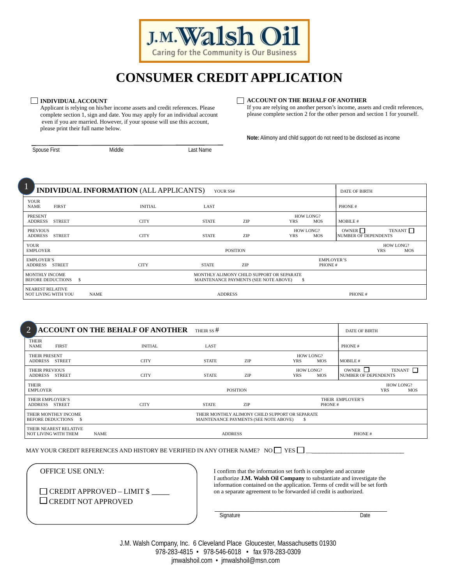

# **CONSUMER CREDIT APPLICATION**

## **INDIVIDUAL ACCOUNT**

Applicant is relying on his/her income assets and credit references. Please complete section 1, sign and date. You may apply for an individual account even if you are married. However, if your spouse will use this account, please print their full name below.

# **ACCOUNT ON THE BEHALF OF ANOTHER**

If you are relying on another person's income, assets and credit references, please complete section 2 for the other person and section 1 for yourself.

**Note:** Alimony and child support do not need to be disclosed as income

Spouse First **Middle** Middle **Last Name** 

í

l,

| и<br>INDIVIDUAL INFORMATION (ALL APPLICANTS)<br>щ<br>YOUR SS#                                                                                                 |  |             |                |                | <b>DATE OF BIRTH</b> |                         |                              |                                                  |                         |                     |
|---------------------------------------------------------------------------------------------------------------------------------------------------------------|--|-------------|----------------|----------------|----------------------|-------------------------|------------------------------|--------------------------------------------------|-------------------------|---------------------|
| <b>YOUR</b><br><b>NAME</b><br><b>FIRST</b>                                                                                                                    |  |             | <b>INITIAL</b> | LAST           |                      |                         |                              | PHONE#                                           |                         |                     |
| <b>PRESENT</b><br><b>ADDRESS</b><br><b>STREET</b>                                                                                                             |  |             | <b>CITY</b>    | <b>STATE</b>   | ZIP                  | HOW LONG?<br><b>YRS</b> | <b>MOS</b>                   | MOBILE #                                         |                         |                     |
| <b>PREVIOUS</b><br>ADDRESS STREET                                                                                                                             |  |             | <b>CITY</b>    | <b>STATE</b>   | ZIP                  | HOW LONG?<br><b>YRS</b> | <b>MOS</b>                   | OWNER <sup></sup><br><b>NUMBER OF DEPENDENTS</b> |                         | TENANT <sup>I</sup> |
| <b>YOUR</b><br><b>EMPLOYER</b>                                                                                                                                |  |             |                |                | <b>POSITION</b>      |                         |                              |                                                  | HOW LONG?<br><b>YRS</b> | <b>MOS</b>          |
| <b>EMPLOYER'S</b><br>ADDRESS STREET                                                                                                                           |  |             | <b>CITY</b>    | <b>STATE</b>   | ZIP                  |                         | <b>EMPLOYER'S</b><br>PHONE # |                                                  |                         |                     |
| <b>MONTHLY INCOME</b><br>MONTHLY ALIMONY CHILD SUPPORT OR SEPARATE<br><b>BEFORE DEDUCTIONS</b><br>$\mathbf{s}$<br>MAINTENANCE PAYMENTS (SEE NOTE ABOVE)<br>-S |  |             |                |                |                      |                         |                              |                                                  |                         |                     |
| <b>NEAREST RELATIVE</b><br>NOT LIVING WITH YOU                                                                                                                |  | <b>NAME</b> |                | <b>ADDRESS</b> |                      |                         |                              | PHONE #                                          |                         |                     |

| $2 -$                                          | <b>ACCOUNT ON THE BEHALF OF ANOTHER</b> | THEIR SS $#$ |                                                                                          |                                       | <b>DATE OF BIRTH</b>                                           |
|------------------------------------------------|-----------------------------------------|--------------|------------------------------------------------------------------------------------------|---------------------------------------|----------------------------------------------------------------|
| <b>THEIR</b><br><b>NAME</b><br><b>FIRST</b>    | <b>INITIAL</b>                          | LAST         |                                                                                          |                                       | PHONE #                                                        |
| THEIR PRESENT<br>ADDRESS STREET                | <b>CITY</b>                             | <b>STATE</b> | ZIP                                                                                      | HOW LONG?<br><b>YRS</b><br><b>MOS</b> | MOBILE #                                                       |
| <b>THEIR PREVIOUS</b><br>ADDRESS STREET        | <b>CITY</b>                             | <b>STATE</b> | ZIP                                                                                      | HOW LONG?<br><b>YRS</b><br><b>MOS</b> | OWNER $\Box$<br>TENANT <b>I</b><br><b>NUMBER OF DEPENDENTS</b> |
| <b>THEIR</b><br><b>EMPLOYER</b>                |                                         |              | <b>POSITION</b>                                                                          |                                       | <b>HOW LONG?</b><br><b>YRS</b><br>MOS                          |
| THEIR EMPLOYER'S<br>ADDRESS STREET             | <b>CITY</b>                             | <b>STATE</b> | ZIP                                                                                      | PHONE #                               | THEIR EMPLOYER'S                                               |
| THEIR MONTHLY INCOME<br>BEFORE DEDUCTIONS \$   |                                         |              | THEIR MONTHLY ALIMONY CHILD SUPPORT OR SEPARATE<br>MAINTENANCE PAYMENTS (SEE NOTE ABOVE) | - 5                                   |                                                                |
| THEIR NEAREST RELATIVE<br>NOT LIVING WITH THEM | <b>NAME</b>                             |              | <b>ADDRESS</b>                                                                           |                                       | PHONE#                                                         |

MAY YOUR CREDIT REFERENCES AND HISTORY BE VERIFIED IN ANY OTHER NAME? NO  $\square$  YES  $\square$ 

OFFICE USE ONLY:

 $\Box$  CREDIT APPROVED – LIMIT \$  $\Box$  CREDIT NOT APPROVED

 I confirm that the information set forth is complete and accurate I authorize **J.M. Walsh Oil Company** to substantiate and investigate the information contained on the application. Terms of credit will be set forth on a separate agreement to be forwarded id credit is authorized.

 $\mathcal{L}_\text{max} = \mathcal{L}_\text{max} = \mathcal{L}_\text{max} = \mathcal{L}_\text{max} = \mathcal{L}_\text{max} = \mathcal{L}_\text{max} = \mathcal{L}_\text{max} = \mathcal{L}_\text{max} = \mathcal{L}_\text{max} = \mathcal{L}_\text{max} = \mathcal{L}_\text{max} = \mathcal{L}_\text{max} = \mathcal{L}_\text{max} = \mathcal{L}_\text{max} = \mathcal{L}_\text{max} = \mathcal{L}_\text{max} = \mathcal{L}_\text{max} = \mathcal{L}_\text{max} = \mathcal{$ 

and the contract of the contract of the contract of the Signature contract of the Date of the Date of the Date

 J.M. Walsh Company, Inc. 6 Cleveland Place Gloucester, Massachusetts 01930 978-283-4815 • 978-546-6018 • fax 978-283-0309 jmwalshoil.com • jmwalshoil@msn.com